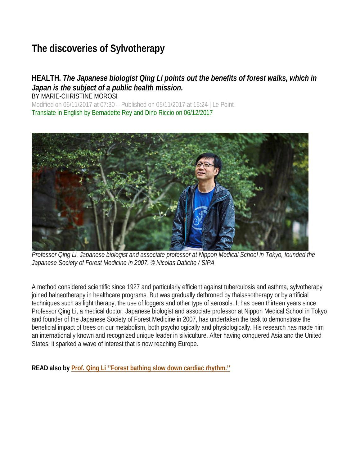# **The discoveries of Sylvotherapy**

# **HEALTH.** *The Japanese biologist Qing Li points out the benefits of forest walks, which in Japan is the subject of a public health mission.*

BY MARIE-CHRISTINE MOROSI Modified on 06/11/2017 at 07:30 – Published on 05/11/2017 at 15:24 | Le Point Translate in English by Bernadette Rey and Dino Riccio on 06/12/2017



*Professor Qing Li, Japanese biologist and associate professor at Nippon Medical School in Tokyo, founded the Japanese Society of Forest Medicine in 2007. © Nicolas Datiche / SIPA*

A method considered scientific since 1927 and particularly efficient against tuberculosis and asthma, sylvotherapy ioined balneotherapy in healthcare programs. But was gradually dethroned by thalassotherapy or by artificial techniques such as light therapy, the use of foggers and other type of aerosols. It has been thirteen years since Professor Qing Li, a medical doctor, Japanese biologist and associate professor at Nippon Medical School in Tokyo and founder of the Japanese Society of Forest Medicine in 2007, has undertaken the task to demonstrate the beneficial impact of trees on our metabolism, both psychologically and physiologically. His research has made him an internationally known and recognized unique leader in silviculture. After having conquered Asia and the United States, it sparked a wave of interest that is now reaching Europe.

**READ also by Prof. Qing Li ''Forest bathing slow down cardiac rhythm.''**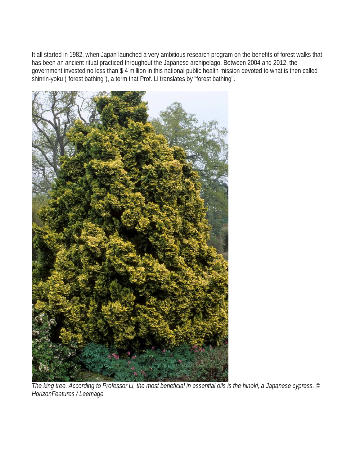It all started in 1982, when Japan launched a very ambitious research program on the benefits of forest walks that has been an ancient ritual practiced throughout the Japanese archipelago. Between 2004 and 2012, the government invested no less than \$ 4 million in this national public health mission devoted to what is then called shinrin-yoku ("forest bathing"), a term that Prof. Li translates by "forest bathing".



*The king tree. According to Professor Li, the most beneficial in essential oils is the hinoki, a Japanese cypress. © HorizonFeatures / Leemage*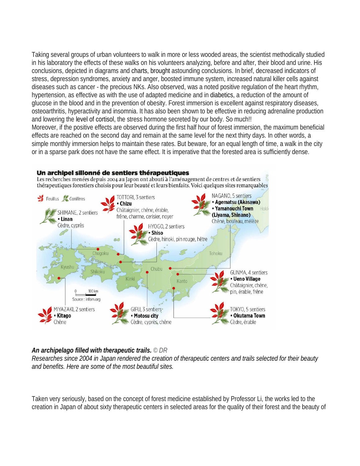Taking several groups of urban volunteers to walk in more or less wooded areas, the scientist methodically studied in his laboratory the effects of these walks on his volunteers analyzing, before and after, their blood and urine. His conclusions, depicted in diagrams and charts, brought astounding conclusions. In brief, decreased indicators of stress, depression syndromes, anxiety and anger, boosted immune system, increased natural killer cells against diseases such as cancer - the precious NKs. Also observed, was a noted positive regulation of the heart rhythm, hypertension, as effective as with the use of adapted medicine and in diabetics, a reduction of the amount of glucose in the blood and in the prevention of obesity. Forest immersion is excellent against respiratory diseases, osteoarthritis, hyperactivity and insomnia. It has also been shown to be effective in reducing adrenaline production and lowering the level of cortisol, the stress hormone secreted by our body. So much!! Moreover, if the positive effects are observed during the first half hour of forest immersion, the maximum beneficial effects are reached on the second day and remain at the same level for the next thirty days. In other words, a simple monthly immersion helps to maintain these rates. But beware, for an equal length of time, a walk in the city or in a sparse park does not have the same effect. It is imperative that the forested area is sufficiently dense.



## *An archipelago filled with therapeutic trails. © DR*

*Researches since 2004 in Japan rendered the creation of therapeutic centers and trails selected for their beauty and benefits. Here are some of the most beautiful sites.*

Taken very seriously, based on the concept of forest medicine established by Professor Li, the works led to the creation in Japan of about sixty therapeutic centers in selected areas for the quality of their forest and the beauty of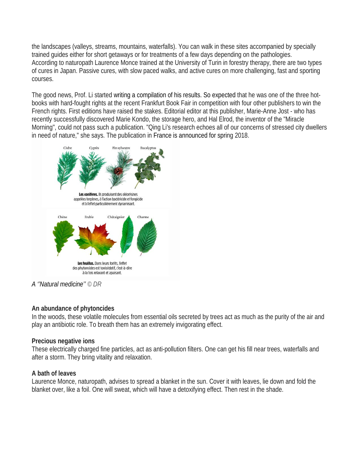the landscapes (valleys, streams, mountains, waterfalls). You can walk in these sites accompanied by specially trained guides either for short getaways or for treatments of a few days depending on the pathologies. According to naturopath Laurence Monce trained at the University of Turin in forestry therapy, there are two types of cures in Japan. Passive cures, with slow paced walks, and active cures on more challenging, fast and sporting courses.

The good news, Prof. Li started writing a compilation of his results. So expected that he was one of the three hotbooks with hard-fought rights at the recent Frankfurt Book Fair in competition with four other publishers to win the French rights. First editions have raised the stakes. Editorial editor at this publisher, Marie-Anne Jost - who has recently successfully discovered Marie Kondo, the storage hero, and Hal Elrod, the inventor of the "Miracle Morning", could not pass such a publication. "Qing Li's research echoes all of our concerns of stressed city dwellers in need of nature," she says. The publication in France is announced for spring 2018.



*A ''Natural medicine'' © DR*

### **An abundance of phytoncides**

In the woods, these volatile molecules from essential oils secreted by trees act as much as the purity of the air and play an antibiotic role. To breath them has an extremely invigorating effect.

### **Precious negative ions**

These electrically charged fine particles, act as anti-pollution filters. One can get his fill near trees, waterfalls and after a storm. They bring vitality and relaxation.

### **A bath of leaves**

Laurence Monce, naturopath, advises to spread a blanket in the sun. Cover it with leaves, lie down and fold the blanket over, like a foil. One will sweat, which will have a detoxifying effect. Then rest in the shade.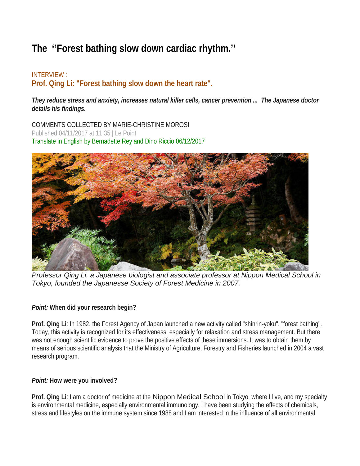# **The ''Forest bathing slow down cardiac rhythm.''**

# INTERVIEW : **Prof. Qing Li: "Forest bathing slow down the heart rate".**

*They reduce stress and anxiety, increases natural killer cells, cancer prevention ... The Japanese doctor details his findings.* 

COMMENTS COLLECTED BY MARIE-CHRISTINE MOROSI Published 04/11/2017 at 11:35 | Le Point Translate in English by Bernadette Rey and Dino Riccio 06/12/2017



*Professor Qing Li, a Japanese biologist and associate professor at Nippon Medical School in Tokyo, founded the Japanesse Society of Forest Medicine in 2007.* 

## *Point:* **When did your research begin?**

**Prof. Qing Li**: In 1982, the Forest Agency of Japan launched a new activity called "shinrin-yoku", "forest bathing". Today, this activity is recognized for its effectiveness, especially for relaxation and stress management. But there was not enough scientific evidence to prove the positive effects of these immersions. It was to obtain them by means of serious scientific analysis that the Ministry of Agriculture, Forestry and Fisheries launched in 2004 a vast research program.

## *Point:* **How were you involved?**

**Prof. Qing Li**: I am a doctor of medicine at the Nippon Medical School in Tokyo, where I live, and my specialty is environmental medicine, especially environmental immunology. I have been studying the effects of chemicals, stress and lifestyles on the immune system since 1988 and I am interested in the influence of all environmental